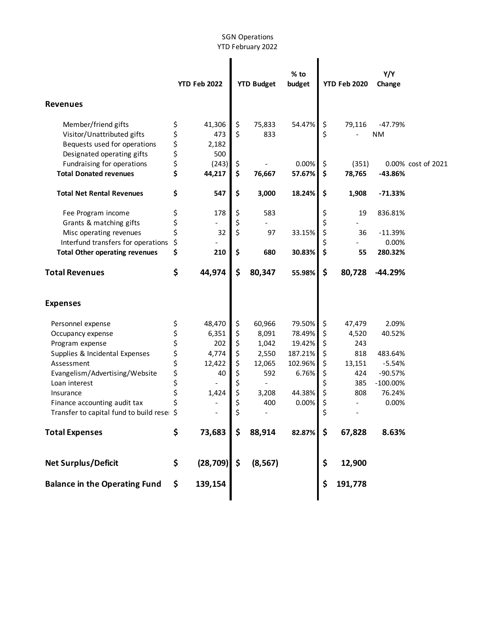## SGN Operations YTD February 2022

|                                                                                                                                                                                                                                                                               | <b>YTD Feb 2022</b>                           |                                                                    | <b>YTD Budget</b>                                              |                                                                              | % to<br>budget                                                                         | <b>YTD Feb 2020</b>                                      |                                                                        | Y/Y<br>Change                                                                                  |                    |
|-------------------------------------------------------------------------------------------------------------------------------------------------------------------------------------------------------------------------------------------------------------------------------|-----------------------------------------------|--------------------------------------------------------------------|----------------------------------------------------------------|------------------------------------------------------------------------------|----------------------------------------------------------------------------------------|----------------------------------------------------------|------------------------------------------------------------------------|------------------------------------------------------------------------------------------------|--------------------|
| <b>Revenues</b>                                                                                                                                                                                                                                                               |                                               |                                                                    |                                                                |                                                                              |                                                                                        |                                                          |                                                                        |                                                                                                |                    |
| Member/friend gifts<br>Visitor/Unattributed gifts<br>Bequests used for operations                                                                                                                                                                                             | \$<br>\$<br>\$                                | 41,306<br>473<br>2,182                                             | \$<br>\$                                                       | 75,833<br>833                                                                | 54.47%                                                                                 | \$<br>\$                                                 | 79,116                                                                 | $-47.79%$<br><b>NM</b>                                                                         |                    |
| Designated operating gifts<br>Fundraising for operations<br><b>Total Donated revenues</b>                                                                                                                                                                                     | \$<br>\$<br>\$                                | 500<br>(243)<br>44,217                                             | \$<br>\$                                                       | 76,667                                                                       | 0.00%<br>57.67%                                                                        | \$<br>\$                                                 | (351)<br>78,765                                                        | $-43.86%$                                                                                      | 0.00% cost of 2021 |
| <b>Total Net Rental Revenues</b>                                                                                                                                                                                                                                              | \$                                            | 547                                                                | \$                                                             | 3,000                                                                        | 18.24%                                                                                 | \$                                                       | 1,908                                                                  | $-71.33%$                                                                                      |                    |
| Fee Program income<br>Grants & matching gifts<br>Misc operating revenues<br>Interfund transfers for operations<br><b>Total Other operating revenues</b>                                                                                                                       | \$<br>\$<br>\$<br>\$<br>\$                    | 178<br>32<br>210                                                   | \$<br>\$<br>\$<br>\$                                           | 583<br>97<br>680                                                             | 33.15%<br>30.83%                                                                       | \$<br>Ś<br>\$<br>\$                                      | 19<br>36<br>55                                                         | 836.81%<br>$-11.39%$<br>0.00%<br>280.32%                                                       |                    |
| <b>Total Revenues</b>                                                                                                                                                                                                                                                         | \$                                            | 44,974                                                             | \$                                                             | 80,347                                                                       | 55.98%                                                                                 | \$                                                       | 80,728                                                                 | $-44.29%$                                                                                      |                    |
| <b>Expenses</b>                                                                                                                                                                                                                                                               |                                               |                                                                    |                                                                |                                                                              |                                                                                        |                                                          |                                                                        |                                                                                                |                    |
| Personnel expense<br>Occupancy expense<br>Program expense<br>Supplies & Incidental Expenses<br>Assessment<br>Evangelism/Advertising/Website<br>Loan interest<br>Insurance<br>Finance accounting audit tax<br>Transfer to capital fund to build reser<br><b>Total Expenses</b> | \$<br>\$<br>\$<br>さらさ<br>\$<br>\$<br>\$<br>\$ | 48,470<br>6,351<br>202<br>4,774<br>12,422<br>40<br>1,424<br>73,683 | \$<br>\$<br>\$<br>\$<br>\$<br>\$<br>\$<br>\$<br>\$<br>\$<br>\$ | 60,966<br>8,091<br>1,042<br>2,550<br>12,065<br>592<br>3,208<br>400<br>88,914 | 79.50%<br>78.49%<br>19.42%<br>187.21%<br>102.96%<br>6.76%<br>44.38%<br>0.00%<br>82.87% | \$<br>\$<br>\$<br>\$<br>\$<br>\$<br>\$<br>\$<br>\$<br>\$ | 47,479<br>4,520<br>243<br>818<br>13,151<br>424<br>385<br>808<br>67,828 | 2.09%<br>40.52%<br>483.64%<br>$-5.54%$<br>$-90.57%$<br>$-100.00\%$<br>76.24%<br>0.00%<br>8.63% |                    |
| <b>Net Surplus/Deficit</b>                                                                                                                                                                                                                                                    | \$                                            | (28, 709)                                                          | \$                                                             | (8, 567)                                                                     |                                                                                        | \$                                                       | 12,900                                                                 |                                                                                                |                    |
| <b>Balance in the Operating Fund</b>                                                                                                                                                                                                                                          | \$                                            | 139,154                                                            |                                                                |                                                                              |                                                                                        | \$                                                       | 191,778                                                                |                                                                                                |                    |